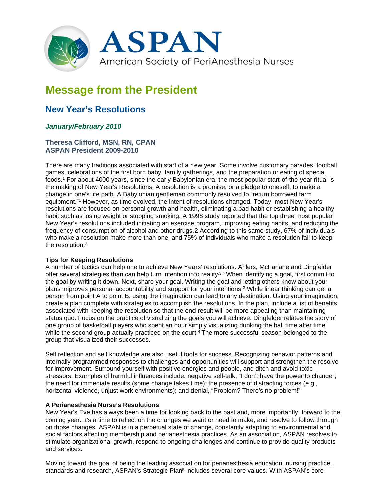

# **Message from the President**

# **New Year's Resolutions**

# *January/February 2010*

#### **Theresa Clifford, MSN, RN, CPAN ASPAN President 2009-2010**

There are many traditions associated with start of a new year. Some involve customary parades, football games, celebrations of the first born baby, family gatherings, and the preparation or eating of special foods.1 For about 4000 years, since the early Babylonian era, the most popular start-of-the-year ritual is the making of New Year's Resolutions. A resolution is a promise, or a pledge to oneself, to make a change in one's life path. A Babylonian gentleman commonly resolved to "return borrowed farm equipment."1 However, as time evolved, the intent of resolutions changed. Today, most New Year's resolutions are focused on personal growth and health, eliminating a bad habit or establishing a healthy habit such as losing weight or stopping smoking. A 1998 study reported that the top three most popular New Year's resolutions included initiating an exercise program, improving eating habits, and reducing the frequency of consumption of alcohol and other drugs.2 According to this same study, 67% of individuals who make a resolution make more than one, and 75% of individuals who make a resolution fail to keep the resolution 2

#### **Tips for Keeping Resolutions**

A number of tactics can help one to achieve New Years' resolutions. Ahlers, McFarlane and Dingfelder offer several strategies than can help turn intention into reality.<sup>3,4</sup> When identifying a goal, first commit to the goal by writing it down. Next, share your goal. Writing the goal and letting others know about your plans improves personal accountability and support for your intentions.3 While linear thinking can get a person from point A to point B, using the imagination can lead to any destination. Using your imagination, create a plan complete with strategies to accomplish the resolutions. In the plan, include a list of benefits associated with keeping the resolution so that the end result will be more appealing than maintaining status quo. Focus on the practice of visualizing the goals you will achieve. Dingfelder relates the story of one group of basketball players who spent an hour simply visualizing dunking the ball time after time while the second group actually practiced on the court.<sup>4</sup> The more successful season belonged to the group that visualized their successes.

Self reflection and self knowledge are also useful tools for success. Recognizing behavior patterns and internally programmed responses to challenges and opportunities will support and strengthen the resolve for improvement. Surround yourself with positive energies and people, and ditch and avoid toxic stressors. Examples of harmful influences include: negative self-talk, "I don't have the power to change"; the need for immediate results (some change takes time); the presence of distracting forces (e.g., horizontal violence, unjust work environments); and denial, "Problem? There's no problem!"

#### **A Perianesthesia Nurse's Resolutions**

New Year's Eve has always been a time for looking back to the past and, more importantly, forward to the coming year. It's a time to reflect on the changes we want or need to make, and resolve to follow through on those changes. ASPAN is in a perpetual state of change, constantly adapting to environmental and social factors affecting membership and perianesthesia practices. As an association, ASPAN resolves to stimulate organizational growth, respond to ongoing challenges and continue to provide quality products and services.

Moving toward the goal of being the leading association for perianesthesia education, nursing practice, standards and research, ASPAN's Strategic Plan<sup>5</sup> includes several core values. With ASPAN's core